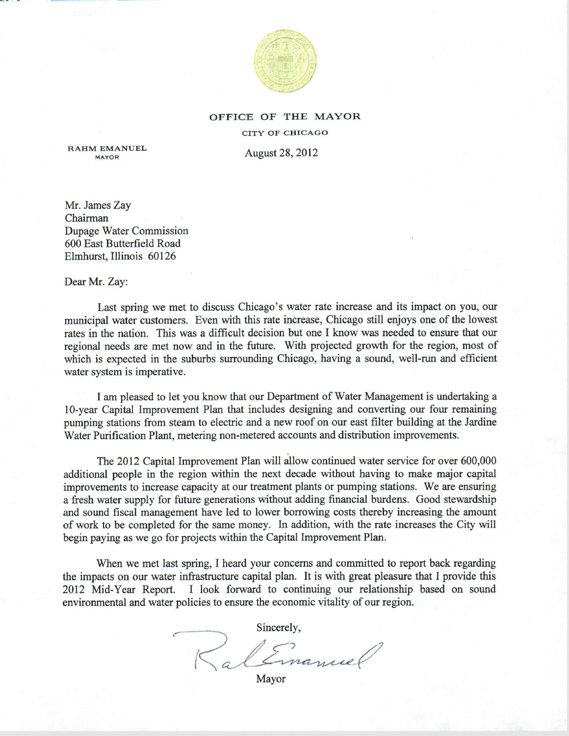

### OFFICE OF TIIE MAYOR

CITY OF CHICAGO

August 28, 2012

RAHM EMANUEL

Mr. James Zay Chairman Dupage Water Commission 600 East Butterfield Road Elmhurst, Illinois 60126

Dear Mr. Zay:

Last spring we met to discuss Chicago's water rate increase and its impact on you, our municipal water customers. Even with this rate increase, Chicago still enjoys one of the lowest rates in the nation. This was a difficult decision but one I know was needed to ensure that our regional needs are met now and in the future. With projected growth for the region, most of which is expected in the suburbs surrounding Chicago, having a sound, well-run and efficient water system is imperative.

I am pleased to let you know that our Department of Water Management is undertaking a l0-year Capital Improvement Plan that includes designing and converting our four remaining pumping stations from steam to electric and a new roof on our east filter building at the Jardine Water Purification Plant, metering non-metered accounts and distribution improvements.

The 2012 Capital Improvement Plan will allow continued water service for over 600,000 additional people in the region within the next decade without having to make major capital improvements to increase capacity at our treatment plants or pumping stations. We are ensuring a fresh water supply for future generations without adding financial burdens. Good stewardship and sound fiscal management have led to lower borrowing costs thereby increasing the amount of work to be completed for the same money. In addition, with the rate increases the City will begin paying as we go for projects within the Capital Improvement Plan.

When we met last spring, I heard your concems and committed to report back regarding the impacts on our water infiastructure capital plan. It is with great pleasure that I provide this 2012 Mid-Year Report. I look forward to continuing our relationship based on sound environmental and water policies to ensure the economic vitality of our region.

Sincerely,  $\lt$  from  $\ell$ a l'Imanuel

Mayor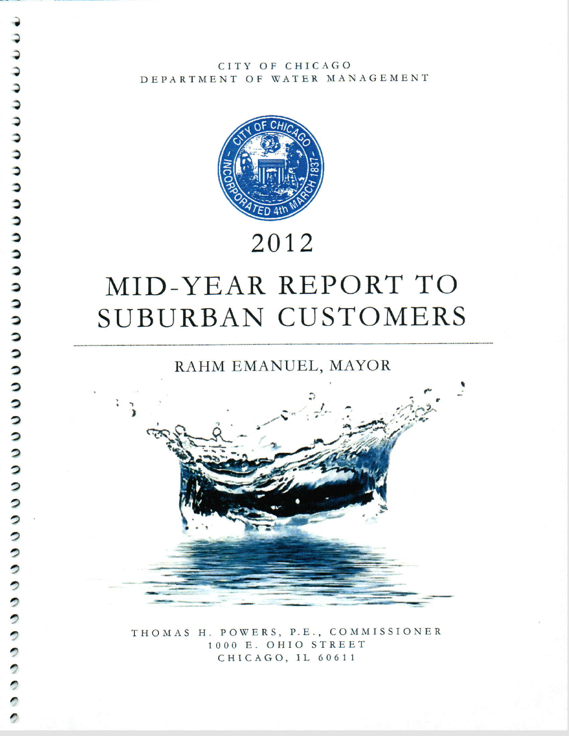CITY OF CHICAGO DEPARTMENT OF WATER MANAGEMENT



## 2012

# MID-YEAR REPORT TO SUBURBAN CUSTOMERS

 $\overline{\phantom{a}}$ 

 $\overline{\phantom{a}}$ 

 $\overline{\phantom{a}}$  $\overline{\phantom{a}}$  $\bullet$  $\bullet$  RAHM EMANUEL, MAYOR



THOMAS H. POWERS, P.E., COMMISSIONER 1000 E. OHIO STREET CHICAGO, IL 60611